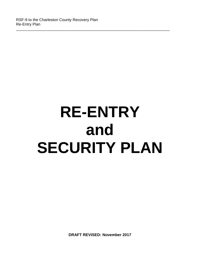# **RE-ENTRY and SECURITY PLAN**

\_\_\_\_\_\_\_\_\_\_\_\_\_\_\_\_\_\_\_\_\_\_\_\_\_\_\_\_\_\_\_\_\_\_\_\_\_\_\_\_\_\_\_\_\_\_\_\_\_\_\_\_\_\_\_\_\_\_\_\_\_\_\_\_\_\_\_\_\_\_\_

**DRAFT REVISED: November 2017**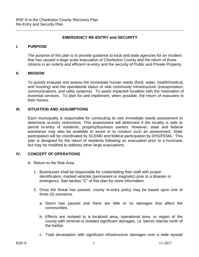#### **EMERGENCY RE-ENTRY and SECURITY**

#### **I. PURPOSE**

The purpose of this plan is to provide guidance to local and state agencies for an incident that has caused a large scale evacuation of Charleston County and the return of those citizens in an orderly and efficient re-entry and the security of Public and Private Property.

#### **II. MISSION**

To quickly evaluate and assess the immediate human needs (food, water, health/medical, and housing) and the operational status of vital community infrastructure (transportation, communications, and utility systems). To assist impacted localities with the restoration of essential services. To plan for and implement, when possible, the return of evacuees to their homes.

#### **III. SITUATION AND ASSUMPTIONS**

Each municipality is responsible for conducting its own immediate needs assessment to determine re-entry restrictions. This assessment will determine if the locality is safe to permit re-entry of residents, property/business owners. However, state and federal assistance may also be available to assist or to conduct such an assessment. State participation will be coordinated by SCEMD and federal participation by DHS/FEMA. This plan is designed for the return of residents following an evacuation prior to a hurricane but may be modified to address other large evacuations.

#### **IV. CONCEPT OF OPERATIONS**

- A. Return to the Risk Area
	- 1. Businesses shall be responsible for credentialing their staff with proper identification, marked vehicles (permanent or magnetic) prior to a disaster or emergency. See section "C" of this plan for more information.
	- 2. Once the threat has passed, county re-entry policy may be based upon one of three (3) scenarios.
		- a. Storm has passed and there are little or no damages that affect the communities.
		- b. Effects are isolated to a localized area, operational area, or region of the county with minimal or isolated significant damages, i.e. barrier islands north of the harbor.
		- c. Total devastation with significant infrastructure damages over a wide spread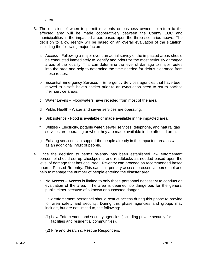area.

- 3. The decision of when to permit residents or business owners to return to the effected area will be made cooperatively between the County EOC and municipalities in the impacted areas based upon the three scenarios above. The decision to allow reentry will be based on an overall evaluation of the situation, including the following major factors:
	- a. Access Following a major event an aerial survey of the impacted areas should be conducted immediately to identify and prioritize the most seriously damaged areas of the locality. This can determine the level of damage to major routes into the area and help to determine the time needed for debris clearance from those routes.
	- b. Essential Emergency Services Emergency Services agencies that have been moved to a safe haven shelter prior to an evacuation need to return back to their service areas.
	- c. Water Levels Floodwaters have receded from most of the area.
	- d. Public Health Water and sewer services are operating.
	- e. Subsistence Food is available or made available in the impacted area.
	- f. Utilities Electricity, potable water, sewer services, telephone, and natural gas services are operating or when they are made available in the affected area.
	- g. Existing services can support the people already in the impacted area as well as an additional influx of people.
- 4. Once the decision to permit re-entry has been established law enforcement personnel should set up checkpoints and roadblocks as needed based upon the level of damage that has occurred. Re-entry can proceed as recommended based upon a Phased Re-entry. This can limit primary access to essential personnel and help to manage the number of people entering the disaster area.
	- a. No Access Access is limited to only those personnel necessary to conduct an evaluation of the area. The area is deemed too dangerous for the general public either because of a known or suspected danger.

Law enforcement personnel should restrict access during this phase to provide for area safety and security. During this phase agencies and groups may include, but are not limited to, the following:

- (1) Law Enforcement and security agencies (including private security for facilities and residential communities).
- (2) Fire and Search & Rescue Responders.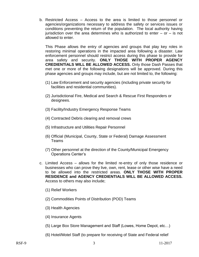b. Restricted Access – Access to the area is limited to those personnel or agencies/organizations necessary to address the safety or services issues or conditions preventing the return of the population. The local authority having jurisdiction over the area determines who is authorized to enter  $-$  or  $-$  is not allowed to enter.

This Phase allows the entry of agencies and groups that play key roles in restoring minimal operations in the impacted area following a disaster. Law enforcement personnel should restrict access during this phase to provide for area safety and security. **ONLY THOSE WITH PROPER AGENCY CREDIENTIALS WILL BE ALLOWED ACCESS.** Only those Dash Passes that met one or more of the following designations will be approved. During this phase agencies and groups may include, but are not limited to, the following:

- (1) Law Enforcement and security agencies (including private security for facilities and residential communities).
- (2) Jurisdictional Fire, Medical and Search & Rescue First Responders or designees.
- (3) Facility/Industry Emergency Response Teams
- (4) Contracted Debris clearing and removal crews
- (5) Infrastructure and Utilities Repair Personnel
- (6) Official (Municipal, County, State or Federal) Damage Assessment Teams
- (7) Other personnel at the direction of the County/Municipal Emergency Operations Center's
- c. Limited Access allows for the limited re-entry of only those residence or businesses who can prove they live, own, rent, lease or other wise have a need to be allowed into the restricted areas. **ONLY THOSE WITH PROPER RESIDENCE and AGENCY CREDIENTIALS WILL BE ALLOWED ACCESS.** Access to others may also include;
	- (1) Relief Workers
	- (2) Commodities Points of Distribution (POD) Teams
	- (3) Health Agencies
	- (4) Insurance Agents
	- (5) Large Box Store Management and Staff (Lowes, Home Depot, etc…)
	- (6) Hotel/Motel Staff (to prepare for receiving of State and Federal relief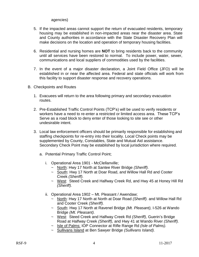#### agencies)

- 5. If the impacted areas cannot support the return of evacuated residents, temporary housing may be established in non-impacted areas near the disaster area. State and County authorities in accordance with the State Disaster Recovery Plan will make decisions on the location and operation of temporary housing facilities.
- 6. Residential and nursing homes are **NOT** to bring residents back to the community until all services have been restored to normal. To include power, water, sewer, communications and local suppliers of commodities used by the facilities.
- 7. In the event of a major disaster declaration, a Joint Field Office (JFO) will be established in or near the affected area. Federal and state officials will work from this facility to support disaster response and recovery operations.
- B. Checkpoints and Routes
	- 1. Evacuees will return to the area following primary and secondary evacuation routes.
	- 2. Pre-Established Traffic Control Points (TCP's) will be used to verify residents or workers have a need to re-enter a restricted or limited access area. These TCP's Serve as a road block to deny enter of those looking to site see or other undesirable intent.
	- 3. Local law enforcement officers should be primarily responsible for establishing and staffing checkpoints for re-entry into their locality. Local Check points may be supplemented by County, Constables, State and Mutual Aid assistance. Secondary Check Point may be established by local jurisdiction where required.
		- a. Potential Primary Traffic Control Point;
			- i. Operational Area 1901 McClellanville;
				- ~ North: Hwy 17 North at Santee River Bridge *(Sheriff).*
				- ~ South: Hwy 17 North at Doar Road, and Willow Hall Rd and Cooter Creek *(Sheriff).*
				- ~ West: Steed Creek and Halfway Creek Rd, and Hwy 45 at Honey Hill Rd *(Sheriff).*
			- ii. Operational Area 1902 Mt. Pleasant / Awendaw;
				- ~ North: Hwy 17 North at North at Doar Road *(Sheriff).* and Willow Hall Rd and Cooter Creek *(Sheriff).*
				- ~ South: Hwy 17 North at Ravenel Bridge *(Mt. Pleasant),* I-526 at Wando Bridge *(Mt. Pleasant).*
				- ~ West: Steed Creek and Halfway Creek Rd *(Sheriff),* Guerin's Bridge Road at Halfway Creek *(Sheriff),* and Hwy 41 at Wando River *(Sheriff).*
				- ~ Isle of Palms: IOP Connector at Rifle Range Rd *(Isle of Palms).*
				- ~ Sullivans Island at Ben Sawyer Bridge *(Sullivans Island).*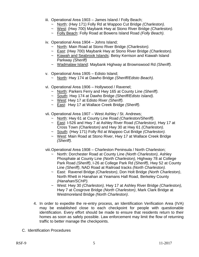- iii. Operational Area 1903 James Island / Folly Beach;
	- ~ North: (Hwy 171) Folly Rd at Wappoo Cut Bridge *(Charleston).*
	- ~ West: (Hwy 700) Maybank Hwy at Stono River Bridge *(Charleston).*
	- ~ Folly Beach: Folly Road at Bowens Island Road *(Folly Beach).*
- iv. Operational Area 1904 Johns Island;
	- ~ North: Main Road at Stono River Bridge *(Charleston).*
	- ~ East: (Hwy 700) Maybank Hwy at Stono River Bridge *(Charleston).*
	- ~ Kiawah and Seabrook Islands: Betsy Kerrison and Kiawah Island Parkway *(Sheriff)*
	- ~ Wadmalaw Island: Maybank Highway at Brownswood Rd *(Sheriff).*
- v. Operational Area 1905 Edisto Island;
	- ~ North: Hwy 174 at Dawho Bridge *(Sheriff/Edisto Beach).*
- vi. Operational Area 1906 Hollywood / Ravenel;
	- ~ North: Parkers Ferry and Hwy 165 at County Line *(Sheriff).*
	- ~ South: Hwy 174 at Dawho Bridge *(Sheriff/Edisto Island).*
	- ~ West: Hwy 17 at Edisto River *(Sheriff).*
	- ~ East: Hwy 17 at Wallace Creek Bridge *(Sheriff).*
- vii. Operational Area 1907 West Ashley / St. Andrews;
	- ~ North: Hwy 61 at County Line Road *(Charleston/Sheriff).*
	- ~ East: I-526 and Hwy 7 at Ashley River Road *(Charleston),* Hwy 17 at Cross Town *(Charleston)* and Hwy 30 at Hwy 61 *(Charleston).*
	- ~ South: (Hwy 171) Folly Rd at Wappoo Cut Bridge *(Charleston).*
	- ~ West: Main Road at Stono River, Hwy 17 at Wallace Creek Bridge *(Sheriff).*

viii.Operational Area 1908 – Charleston Peninsula / North Charleston;

- ~ North: Dorchester Road at County Line *(North Charleston),* Ashley Phosphate at County Line *(North Charleston),* Highway 78 at College Park Road *(Sheriff)*, I-26 at College Park Rd *(Sheriff)*, Hwy 52 at County Line *(Sheriff)*, NAD Road at Railroad tracks *(North Charleston).*
- ~ East: Ravenel Bridge *(Charleston)*, Don Holt Bridge *(North Charleston)*, North Rhett in Hanahan at Yeamans Hall Road, Berkeley County *(Hanahan/SCHP).*
- ~ West: Hwy 30 *(Charleston),* Hwy 17 at Ashley River Bridge *(Charleston),* Hwy 7 at Cosgrove Bridge *(North Charleston)*, Mark Clark Bridge at Westmoreland Bridge *(North Charleston)*.
- 4. In order to expedite the re-entry process, an Identification Verification Area (IVA) may be established close to each checkpoint for people with questionable identification. Every effort should be made to ensure that residents return to their homes as soon as safely possible. Law enforcement may limit the flow of returning traffic to better manage the checkpoints.
- C. Identification Procedures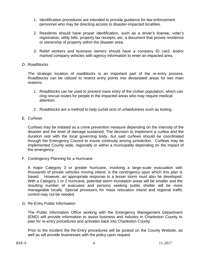- 1. Identification procedures are intended to provide guidance for law enforcement personnel who may be directing access to disaster-impacted localities.
- 2. Residents should have proper identification, such as a driver's license, voter's registration, utility bills, property tax receipts, etc; a document that proves residence or ownership of property within the disaster area.
- 3. Relief workers and business owners should have a company ID card, and/or marked company vehicles with agency information to enter an impacted area.
- D. Roadblocks

The strategic location of roadblocks is an important part of the re-entry process. Roadblocks can be utilized to restrict entry points into devastated areas for two main reasons.

- 1. Roadblocks can be used to prevent mass entry of the civilian population, which can clog rescue routes for people in the impacted areas who may require medical attention.
- 2. Roadblocks are a method to help curtail acts of unlawfulness such as looting.
- E. Curfews

Curfews may be initiated as a crime prevention measure depending on the intensity of the disaster and the level of damage sustained. The decision to implement a curfew and the duration rest with the local governing body, but said curfews should be coordinated through the Emergency Council to insure continuity among jurisdiction. Curfews may be implemented County wide, regionally or within a municipality depending on the impact of the emergency.

F. Contingency Planning for a Hurricane

A major Category 3 or greater hurricane, involving a large-scale evacuation with thousands of private vehicles moving inland, is the contingency upon which this plan is based. However, an appropriate response to a lesser storm must also be developed. With a Category 1 or 2 hurricane, potential storm inundation areas will be smaller and the resulting number of evacuees and persons seeking public shelter will be more manageable locally. Special provisions for mass relocation inland and regional traffic control may not be needed.

G. Re-Entry Public Information

The Public Information Office working with the Emergency Management Department (EMD) will provide information to assist business and industry in Charleston County to plan for re-entry procedures and activates back into Charleston County.

Prior to the incident the Re-Entry procedures will be posted on the County Website, as well as will provide businesses with the policy upon request.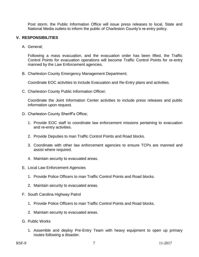Post storm, the Public Information Office will issue press releases to local, State and National Media outlets to inform the public of Charleston County's re-entry policy.

#### **V. RESPONSIBILITIES**

A. General;

Following a mass evacuation, and the evacuation order has been lifted, the Traffic Control Points for evacuation operations will become Traffic Control Points for re-entry manned by the Law Enforcement agencies.

B. Charleston County Emergency Management Department;

Coordinate EOC activities to include Evacuation and Re-Entry plans and activities.

C. Charleston County Public Information Officer;

Coordinate the Joint Information Center activities to include press releases and public information upon request.

- D. Charleston County Sheriff's Office;
	- 1. Provide EOC staff to coordinate law enforcement missions pertaining to evacuation and re-entry activities.
	- 2. Provide Deputies to man Traffic Control Points and Road blocks.
	- 3. Coordinate with other law enforcement agencies to ensure TCPs are manned and assist where required.
	- 4. Maintain security to evacuated areas.
- E. Local Law Enforcement Agencies
	- 1. Provide Police Officers to man Traffic Control Points and Road blocks.
	- 2. Maintain security to evacuated areas.
- F. South Carolina Highway Patrol
	- 1. Provide Police Officers to man Traffic Control Points and Road blocks.
	- 2. Maintain security to evacuated areas.
- G. Public Works
	- 1. Assemble and deploy Pre-Entry Team with heavy equipment to open up primary routes following a disaster.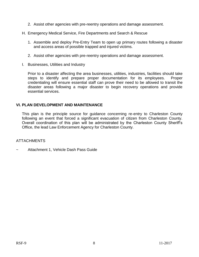- 2. Assist other agencies with pre-reentry operations and damage assessment.
- H. Emergency Medical Service, Fire Departments and Search & Rescue
	- 1. Assemble and deploy Pre-Entry Team to open up primary routes following a disaster and access areas of possible trapped and injured victims.
	- 2. Assist other agencies with pre-reentry operations and damage assessment.
- I. Businesses, Utilities and Industry

Prior to a disaster affecting the area businesses, utilities, industries, facilities should take steps to identify and prepare proper documentation for its employees. Proper credentialing will ensure essential staff can prove their need to be allowed to transit the disaster areas following a major disaster to begin recovery operations and provide essential services.

#### **VI. PLAN DEVELOPMENT AND MAINTENANCE**

This plan is the principle source for guidance concerning re-entry to Charleston County following an event that forced a significant evacuation of citizen from Charleston County. Overall coordination of this plan will be administrated by the Charleston County Sheriff's Office, the lead Law Enforcement Agency for Charleston County.

#### ATTACHMENTS

Attachment 1, Vehicle Dash Pass Guide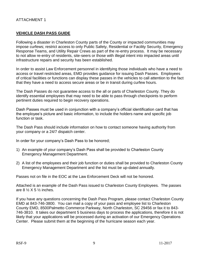#### **VEHICLE DASH PASS GUIDE**

Following a disaster in Charleston County parts of the County or impacted communities may impose curfews; restrict access to only Public Safety, Residential or Facility Security, Emergency Response Teams, and Utility Repair Crews as part of the re-entry process. It may be necessary to not allow re-entry of residents, site-seers or those with illegal intent into impacted areas until infrastructure repairs and security has been established.

In order to assist Law Enforcement personnel in identifying those individuals who have a need to access or travel restricted areas, EMD provides guidance for issuing Dash Passes. Employees of critical facilities or functions can display these passes in the vehicles to call attention to the fact that they have a need to access secure areas or be in transit during curfew hours.

The Dash Passes do not guarantee access to the all or parts of Charleston County. They do identify essential employees that may need to be able to pass through checkpoints to perform pertinent duties required to begin recovery operations.

Dash Passes must be used in conjunction with a company's official identification card that has the employee's picture and basic information, to include the holders name and specific job function or task.

The Dash Pass should include information on how to contact someone having authority from your company or a 24/7 dispatch center.

In order for your company's Dash Pass to be honored;

- 1) An example of your company's Dash Pass shall be provided to Charleston County Emergency Management Department.
- 2) A list of the employees and their job function or duties shall be provided to Charleston County Emergency Management Department and the list must be up-dated annually.

Passes not on file in the EOC at the Law Enforcement Deck will not be honored.

Attached is an example of the Dash Pass issued to Charleston County Employees. The passes are  $8\frac{1}{2}$  X 5  $\frac{1}{2}$  inches.

If you have any questions concerning the Dash Pass Program, please contact Charleston County EMD at 843-746-3800. You can mail a copy of your pass and employee list to Charleston County EMD, 8500Palmetto Commerce Parkway, North Charleston, SC 29456 or fax it to 843- 746-3810. It takes our department 5 business days to process the applications, therefore it is not likely that your applications will be processed during an activation of our Emergency Operations Center. Please submit them at the beginning of the hurricane season each year.